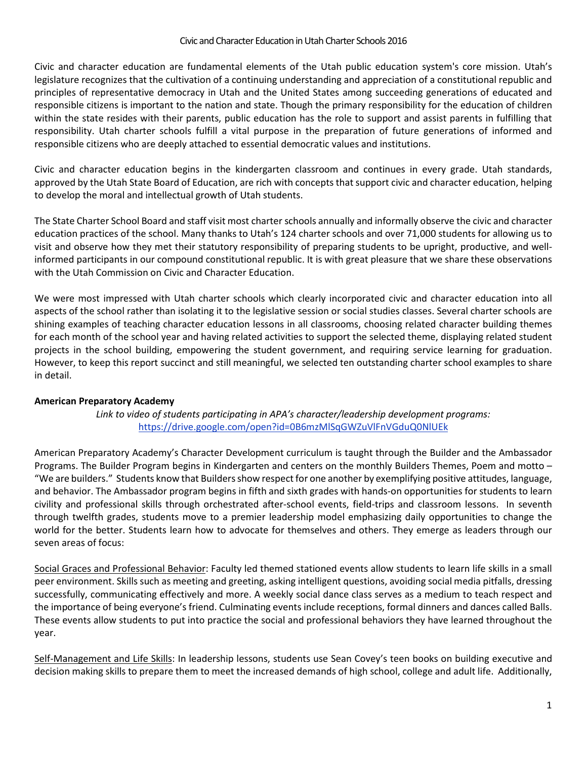Civic and character education are fundamental elements of the Utah public education system's core mission. Utah's legislature recognizes that the cultivation of a continuing understanding and appreciation of a constitutional republic and principles of representative democracy in Utah and the United States among succeeding generations of educated and responsible citizens is important to the nation and state. Though the primary responsibility for the education of children within the state resides with their parents, public education has the role to support and assist parents in fulfilling that responsibility. Utah charter schools fulfill a vital purpose in the preparation of future generations of informed and responsible citizens who are deeply attached to essential democratic values and institutions.

Civic and character education begins in the kindergarten classroom and continues in every grade. Utah standards, approved by the Utah State Board of Education, are rich with concepts that support civic and character education, helping to develop the moral and intellectual growth of Utah students.

The State Charter School Board and staff visit most charter schools annually and informally observe the civic and character education practices of the school. Many thanks to Utah's 124 charter schools and over 71,000 students for allowing us to visit and observe how they met their statutory responsibility of preparing students to be upright, productive, and wellinformed participants in our compound constitutional republic. It is with great pleasure that we share these observations with the Utah Commission on Civic and Character Education.

We were most impressed with Utah charter schools which clearly incorporated civic and character education into all aspects of the school rather than isolating it to the legislative session or social studies classes. Several charter schools are shining examples of teaching character education lessons in all classrooms, choosing related character building themes for each month of the school year and having related activities to support the selected theme, displaying related student projects in the school building, empowering the student government, and requiring service learning for graduation. However, to keep this report succinct and still meaningful, we selected ten outstanding charter school examples to share in detail.

# **American Preparatory Academy**

*Link to video of students participating in APA's character/leadership development programs:*  <https://drive.google.com/open?id=0B6mzMlSqGWZuVlFnVGduQ0NlUEk>

American Preparatory Academy's Character Development curriculum is taught through the Builder and the Ambassador Programs. The Builder Program begins in Kindergarten and centers on the monthly Builders Themes, Poem and motto – "We are builders." Students know that Builders show respect for one another by exemplifying positive attitudes, language, and behavior. The Ambassador program begins in fifth and sixth grades with hands-on opportunities for students to learn civility and professional skills through orchestrated after-school events, field-trips and classroom lessons. In seventh through twelfth grades, students move to a premier leadership model emphasizing daily opportunities to change the world for the better. Students learn how to advocate for themselves and others. They emerge as leaders through our seven areas of focus:

Social Graces and Professional Behavior: Faculty led themed stationed events allow students to learn life skills in a small peer environment. Skills such as meeting and greeting, asking intelligent questions, avoiding social media pitfalls, dressing successfully, communicating effectively and more. A weekly social dance class serves as a medium to teach respect and the importance of being everyone's friend. Culminating events include receptions, formal dinners and dances called Balls. These events allow students to put into practice the social and professional behaviors they have learned throughout the year.

Self-Management and Life Skills: In leadership lessons, students use Sean Covey's teen books on building executive and decision making skills to prepare them to meet the increased demands of high school, college and adult life. Additionally,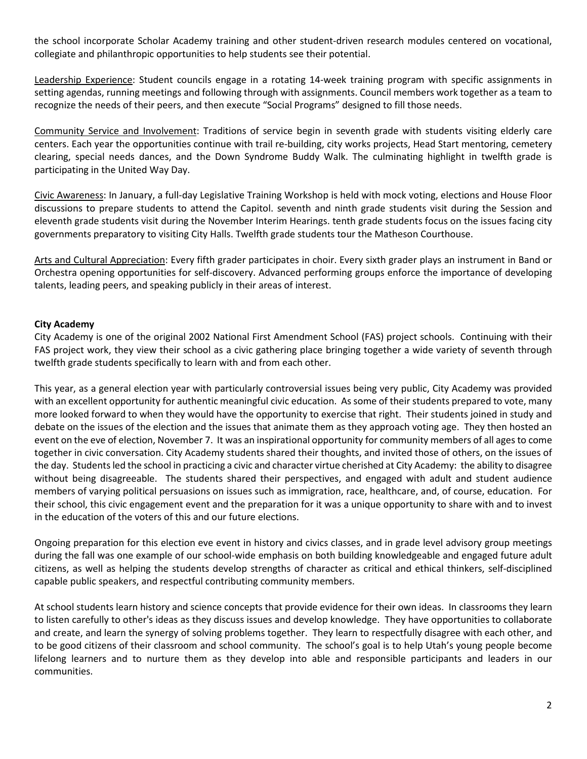the school incorporate Scholar Academy training and other student-driven research modules centered on vocational, collegiate and philanthropic opportunities to help students see their potential.

Leadership Experience: Student councils engage in a rotating 14-week training program with specific assignments in setting agendas, running meetings and following through with assignments. Council members work together as a team to recognize the needs of their peers, and then execute "Social Programs" designed to fill those needs.

Community Service and Involvement: Traditions of service begin in seventh grade with students visiting elderly care centers. Each year the opportunities continue with trail re-building, city works projects, Head Start mentoring, cemetery clearing, special needs dances, and the Down Syndrome Buddy Walk. The culminating highlight in twelfth grade is participating in the United Way Day.

Civic Awareness: In January, a full-day Legislative Training Workshop is held with mock voting, elections and House Floor discussions to prepare students to attend the Capitol. seventh and ninth grade students visit during the Session and eleventh grade students visit during the November Interim Hearings. tenth grade students focus on the issues facing city governments preparatory to visiting City Halls. Twelfth grade students tour the Matheson Courthouse.

Arts and Cultural Appreciation: Every fifth grader participates in choir. Every sixth grader plays an instrument in Band or Orchestra opening opportunities for self-discovery. Advanced performing groups enforce the importance of developing talents, leading peers, and speaking publicly in their areas of interest.

## **City Academy**

City Academy is one of the original 2002 National First Amendment School (FAS) project schools. Continuing with their FAS project work, they view their school as a civic gathering place bringing together a wide variety of seventh through twelfth grade students specifically to learn with and from each other.

This year, as a general election year with particularly controversial issues being very public, City Academy was provided with an excellent opportunity for authentic meaningful civic education. As some of their students prepared to vote, many more looked forward to when they would have the opportunity to exercise that right. Their students joined in study and debate on the issues of the election and the issues that animate them as they approach voting age. They then hosted an event on the eve of election, November 7. It was an inspirational opportunity for community members of all ages to come together in civic conversation. City Academy students shared their thoughts, and invited those of others, on the issues of the day. Students led the school in practicing a civic and character virtue cherished at City Academy: the ability to disagree without being disagreeable. The students shared their perspectives, and engaged with adult and student audience members of varying political persuasions on issues such as immigration, race, healthcare, and, of course, education. For their school, this civic engagement event and the preparation for it was a unique opportunity to share with and to invest in the education of the voters of this and our future elections.

Ongoing preparation for this election eve event in history and civics classes, and in grade level advisory group meetings during the fall was one example of our school-wide emphasis on both building knowledgeable and engaged future adult citizens, as well as helping the students develop strengths of character as critical and ethical thinkers, self-disciplined capable public speakers, and respectful contributing community members.

At school students learn history and science concepts that provide evidence for their own ideas. In classrooms they learn to listen carefully to other's ideas as they discuss issues and develop knowledge. They have opportunities to collaborate and create, and learn the synergy of solving problems together. They learn to respectfully disagree with each other, and to be good citizens of their classroom and school community. The school's goal is to help Utah's young people become lifelong learners and to nurture them as they develop into able and responsible participants and leaders in our communities.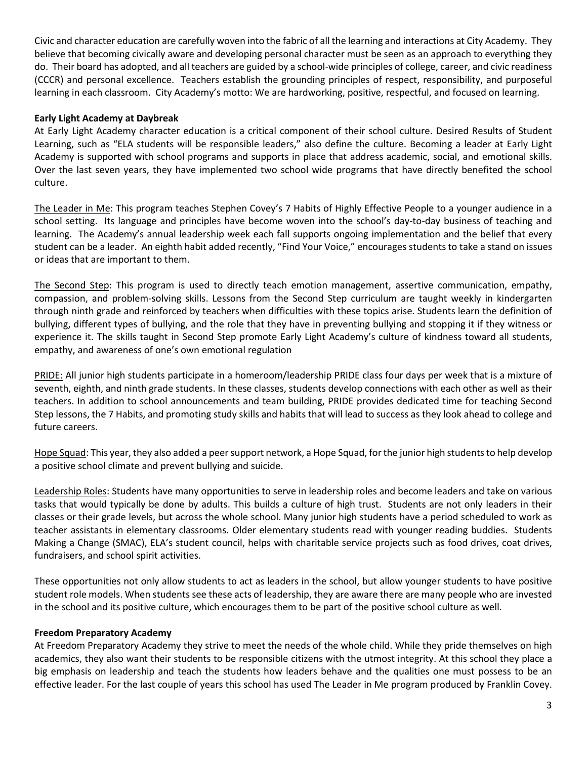Civic and character education are carefully woven into the fabric of all the learning and interactions at City Academy. They believe that becoming civically aware and developing personal character must be seen as an approach to everything they do. Their board has adopted, and all teachers are guided by a school-wide principles of college, career, and civic readiness (CCCR) and personal excellence. Teachers establish the grounding principles of respect, responsibility, and purposeful learning in each classroom. City Academy's motto: We are hardworking, positive, respectful, and focused on learning.

### **Early Light Academy at Daybreak**

At Early Light Academy character education is a critical component of their school culture. Desired Results of Student Learning, such as "ELA students will be responsible leaders," also define the culture. Becoming a leader at Early Light Academy is supported with school programs and supports in place that address academic, social, and emotional skills. Over the last seven years, they have implemented two school wide programs that have directly benefited the school culture.

The Leader in Me: This program teaches Stephen Covey's 7 Habits of Highly Effective People to a younger audience in a school setting. Its language and principles have become woven into the school's day-to-day business of teaching and learning. The Academy's annual leadership week each fall supports ongoing implementation and the belief that every student can be a leader. An eighth habit added recently, "Find Your Voice," encourages students to take a stand on issues or ideas that are important to them.

The Second Step: This program is used to directly teach emotion management, assertive communication, empathy, compassion, and problem-solving skills. Lessons from the Second Step curriculum are taught weekly in kindergarten through ninth grade and reinforced by teachers when difficulties with these topics arise. Students learn the definition of bullying, different types of bullying, and the role that they have in preventing bullying and stopping it if they witness or experience it. The skills taught in Second Step promote Early Light Academy's culture of kindness toward all students, empathy, and awareness of one's own emotional regulation

PRIDE: All junior high students participate in a homeroom/leadership PRIDE class four days per week that is a mixture of seventh, eighth, and ninth grade students. In these classes, students develop connections with each other as well as their teachers. In addition to school announcements and team building, PRIDE provides dedicated time for teaching Second Step lessons, the 7 Habits, and promoting study skills and habits that will lead to success as they look ahead to college and future careers.

Hope Squad: This year, they also added a peer support network, a Hope Squad, for the junior high students to help develop a positive school climate and prevent bullying and suicide.

Leadership Roles: Students have many opportunities to serve in leadership roles and become leaders and take on various tasks that would typically be done by adults. This builds a culture of high trust. Students are not only leaders in their classes or their grade levels, but across the whole school. Many junior high students have a period scheduled to work as teacher assistants in elementary classrooms. Older elementary students read with younger reading buddies. Students Making a Change (SMAC), ELA's student council, helps with charitable service projects such as food drives, coat drives, fundraisers, and school spirit activities.

These opportunities not only allow students to act as leaders in the school, but allow younger students to have positive student role models. When students see these acts of leadership, they are aware there are many people who are invested in the school and its positive culture, which encourages them to be part of the positive school culture as well.

### **Freedom Preparatory Academy**

At Freedom Preparatory Academy they strive to meet the needs of the whole child. While they pride themselves on high academics, they also want their students to be responsible citizens with the utmost integrity. At this school they place a big emphasis on leadership and teach the students how leaders behave and the qualities one must possess to be an effective leader. For the last couple of years this school has used The Leader in Me program produced by Franklin Covey.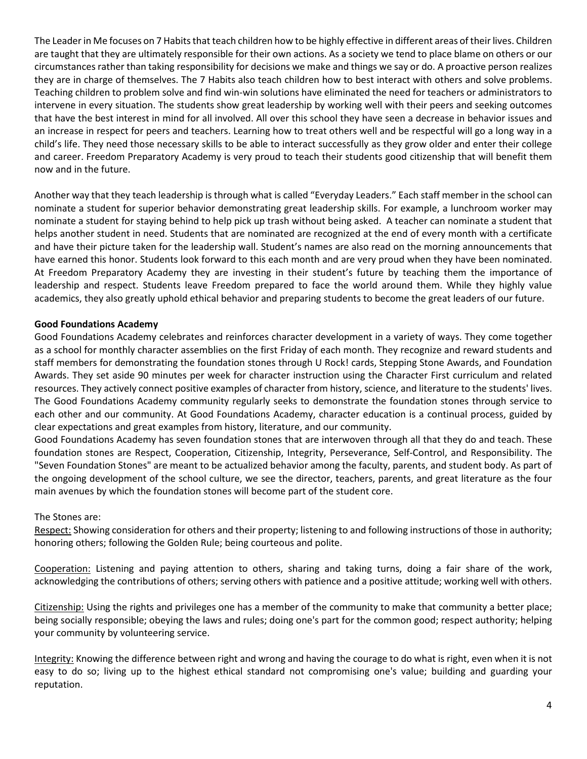The Leader in Me focuses on 7 Habits that teach children how to be highly effective in different areas of their lives. Children are taught that they are ultimately responsible for their own actions. As a society we tend to place blame on others or our circumstances rather than taking responsibility for decisions we make and things we say or do. A proactive person realizes they are in charge of themselves. The 7 Habits also teach children how to best interact with others and solve problems. Teaching children to problem solve and find win-win solutions have eliminated the need for teachers or administrators to intervene in every situation. The students show great leadership by working well with their peers and seeking outcomes that have the best interest in mind for all involved. All over this school they have seen a decrease in behavior issues and an increase in respect for peers and teachers. Learning how to treat others well and be respectful will go a long way in a child's life. They need those necessary skills to be able to interact successfully as they grow older and enter their college and career. Freedom Preparatory Academy is very proud to teach their students good citizenship that will benefit them now and in the future.

Another way that they teach leadership is through what is called "Everyday Leaders." Each staff member in the school can nominate a student for superior behavior demonstrating great leadership skills. For example, a lunchroom worker may nominate a student for staying behind to help pick up trash without being asked. A teacher can nominate a student that helps another student in need. Students that are nominated are recognized at the end of every month with a certificate and have their picture taken for the leadership wall. Student's names are also read on the morning announcements that have earned this honor. Students look forward to this each month and are very proud when they have been nominated. At Freedom Preparatory Academy they are investing in their student's future by teaching them the importance of leadership and respect. Students leave Freedom prepared to face the world around them. While they highly value academics, they also greatly uphold ethical behavior and preparing students to become the great leaders of our future.

## **Good Foundations Academy**

Good Foundations Academy celebrates and reinforces character development in a variety of ways. They come together as a school for monthly character assemblies on the first Friday of each month. They recognize and reward students and staff members for demonstrating the foundation stones through U Rock! cards, Stepping Stone Awards, and Foundation Awards. They set aside 90 minutes per week for character instruction using the Character First curriculum and related resources. They actively connect positive examples of character from history, science, and literature to the students' lives. The Good Foundations Academy community regularly seeks to demonstrate the foundation stones through service to each other and our community. At Good Foundations Academy, character education is a continual process, guided by clear expectations and great examples from history, literature, and our community.

Good Foundations Academy has seven foundation stones that are interwoven through all that they do and teach. These foundation stones are Respect, Cooperation, Citizenship, Integrity, Perseverance, Self-Control, and Responsibility. The "Seven Foundation Stones" are meant to be actualized behavior among the faculty, parents, and student body. As part of the ongoing development of the school culture, we see the director, teachers, parents, and great literature as the four main avenues by which the foundation stones will become part of the student core.

### The Stones are:

Respect: Showing consideration for others and their property; listening to and following instructions of those in authority; honoring others; following the Golden Rule; being courteous and polite.

Cooperation: Listening and paying attention to others, sharing and taking turns, doing a fair share of the work, acknowledging the contributions of others; serving others with patience and a positive attitude; working well with others.

Citizenship: Using the rights and privileges one has a member of the community to make that community a better place; being socially responsible; obeying the laws and rules; doing one's part for the common good; respect authority; helping your community by volunteering service.

Integrity: Knowing the difference between right and wrong and having the courage to do what is right, even when it is not easy to do so; living up to the highest ethical standard not compromising one's value; building and guarding your reputation.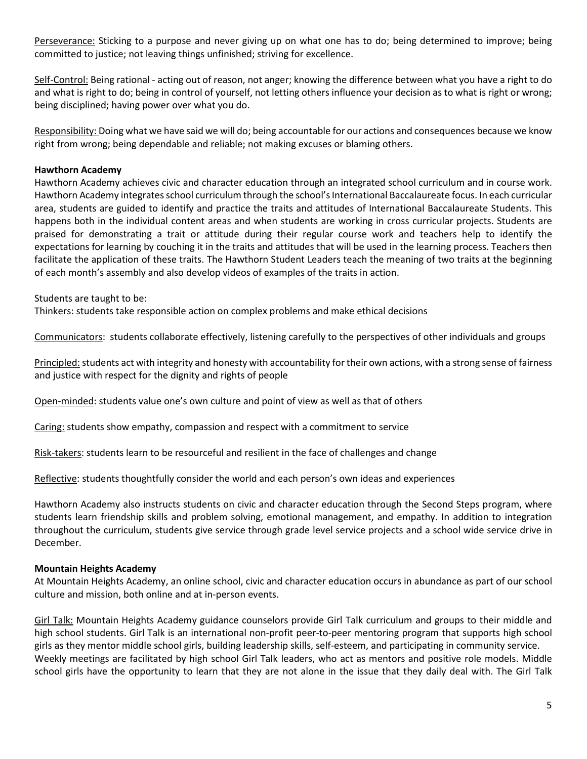Perseverance: Sticking to a purpose and never giving up on what one has to do; being determined to improve; being committed to justice; not leaving things unfinished; striving for excellence.

Self-Control: Being rational - acting out of reason, not anger; knowing the difference between what you have a right to do and what is right to do; being in control of yourself, not letting others influence your decision as to what is right or wrong; being disciplined; having power over what you do.

Responsibility: Doing what we have said we will do; being accountable for our actions and consequences because we know right from wrong; being dependable and reliable; not making excuses or blaming others.

## **Hawthorn Academy**

Hawthorn Academy achieves civic and character education through an integrated school curriculum and in course work. Hawthorn Academy integrates school curriculum through the school's International Baccalaureate focus. In each curricular area, students are guided to identify and practice the traits and attitudes of International Baccalaureate Students. This happens both in the individual content areas and when students are working in cross curricular projects. Students are praised for demonstrating a trait or attitude during their regular course work and teachers help to identify the expectations for learning by couching it in the traits and attitudes that will be used in the learning process. Teachers then facilitate the application of these traits. The Hawthorn Student Leaders teach the meaning of two traits at the beginning of each month's assembly and also develop videos of examples of the traits in action.

Students are taught to be:

Thinkers: students take responsible action on complex problems and make ethical decisions

Communicators: students collaborate effectively, listening carefully to the perspectives of other individuals and groups

Principled: students act with integrity and honesty with accountability for their own actions, with a strong sense of fairness and justice with respect for the dignity and rights of people

Open-minded: students value one's own culture and point of view as well as that of others

Caring: students show empathy, compassion and respect with a commitment to service

Risk-takers: students learn to be resourceful and resilient in the face of challenges and change

Reflective: students thoughtfully consider the world and each person's own ideas and experiences

Hawthorn Academy also instructs students on civic and character education through the Second Steps program, where students learn friendship skills and problem solving, emotional management, and empathy. In addition to integration throughout the curriculum, students give service through grade level service projects and a school wide service drive in December.

# **Mountain Heights Academy**

At Mountain Heights Academy, an online school, civic and character education occurs in abundance as part of our school culture and mission, both online and at in-person events.

Girl Talk: Mountain Heights Academy guidance counselors provide Girl Talk curriculum and groups to their middle and high school students. Girl Talk is an international non-profit peer-to-peer mentoring program that supports high school girls as they mentor middle school girls, building leadership skills, self-esteem, and participating in community service. Weekly meetings are facilitated by high school Girl Talk leaders, who act as mentors and positive role models. Middle school girls have the opportunity to learn that they are not alone in the issue that they daily deal with. The Girl Talk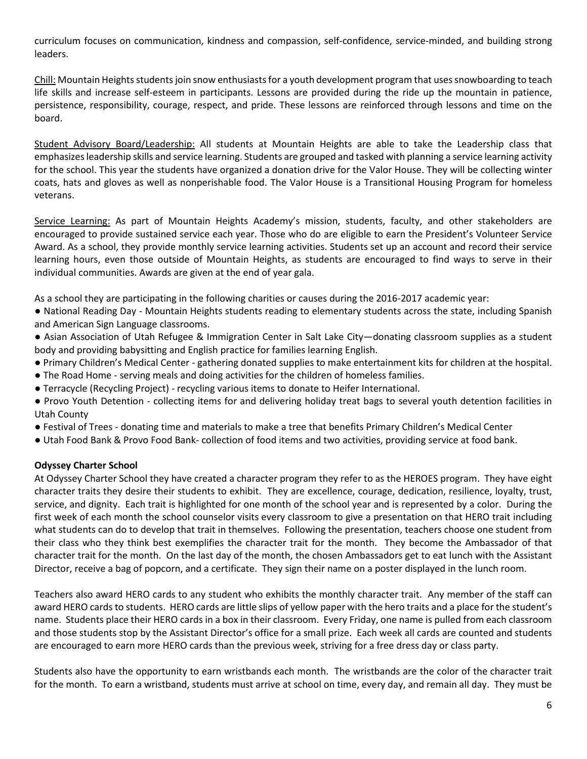curriculum focuses on communication, kindness and compassion, self-confidence, service-minded, and building strong leaders.

Chill: Mountain Heights students join snow enthusiasts for a youth development program that uses snowboarding to teach life skills and increase self-esteem in participants. Lessons are provided during the ride up the mountain in patience, persistence, responsibility, courage, respect, and pride. These lessons are reinforced through lessons and time on the board.

Student Advisory Board/Leadership: All students at Mountain Heights are able to take the Leadership class that emphasizes leadership skills and service learning. Students are grouped and tasked with planning a service learning activity for the school. This year the students have organized a donation drive for the Valor House. They will be collecting winter coats, hats and gloves as well as nonperishable food. The Valor House is a Transitional Housing Program for homeless veterans.

Service Learning: As part of Mountain Heights Academy's mission, students, faculty, and other stakeholders are encouraged to provide sustained service each year. Those who do are eligible to earn the President's Volunteer Service Award. As a school, they provide monthly service learning activities. Students set up an account and record their service learning hours, even those outside of Mountain Heights, as students are encouraged to find ways to serve in their individual communities. Awards are given at the end of year gala.

As a school they are participating in the following charities or causes during the 2016-2017 academic year:

- National Reading Day Mountain Heights students reading to elementary students across the state, including Spanish and American Sign Language classrooms.
- Asian Association of Utah Refugee & Immigration Center in Salt Lake City—donating classroom supplies as a student body and providing babysitting and English practice for families learning English.
- Primary Children's Medical Center gathering donated supplies to make entertainment kits for children at the hospital.
- The Road Home serving meals and doing activities for the children of homeless families.
- Terracycle (Recycling Project) recycling various items to donate to Heifer International.
- Provo Youth Detention collecting items for and delivering holiday treat bags to several youth detention facilities in Utah County
- Festival of Trees donating time and materials to make a tree that benefits Primary Children's Medical Center
- Utah Food Bank & Provo Food Bank- collection of food items and two activities, providing service at food bank.

### **Odyssey Charter School**

At Odyssey Charter School they have created a character program they refer to as the HEROES program. They have eight character traits they desire their students to exhibit. They are excellence, courage, dedication, resilience, loyalty, trust, service, and dignity. Each trait is highlighted for one month of the school year and is represented by a color. During the first week of each month the school counselor visits every classroom to give a presentation on that HERO trait including what students can do to develop that trait in themselves. Following the presentation, teachers choose one student from their class who they think best exemplifies the character trait for the month. They become the Ambassador of that character trait for the month. On the last day of the month, the chosen Ambassadors get to eat lunch with the Assistant Director, receive a bag of popcorn, and a certificate. They sign their name on a poster displayed in the lunch room.

Teachers also award HERO cards to any student who exhibits the monthly character trait. Any member of the staff can award HERO cards to students. HERO cards are little slips of yellow paper with the hero traits and a place for the student's name. Students place their HERO cards in a box in their classroom. Every Friday, one name is pulled from each classroom and those students stop by the Assistant Director's office for a small prize. Each week all cards are counted and students are encouraged to earn more HERO cards than the previous week, striving for a free dress day or class party.

Students also have the opportunity to earn wristbands each month. The wristbands are the color of the character trait for the month. To earn a wristband, students must arrive at school on time, every day, and remain all day. They must be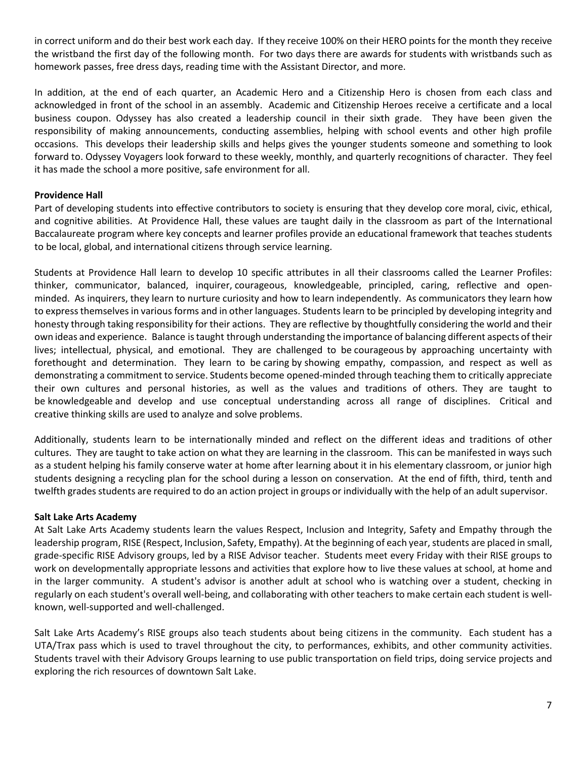in correct uniform and do their best work each day. If they receive 100% on their HERO points for the month they receive the wristband the first day of the following month. For two days there are awards for students with wristbands such as homework passes, free dress days, reading time with the Assistant Director, and more.

In addition, at the end of each quarter, an Academic Hero and a Citizenship Hero is chosen from each class and acknowledged in front of the school in an assembly. Academic and Citizenship Heroes receive a certificate and a local business coupon. Odyssey has also created a leadership council in their sixth grade. They have been given the responsibility of making announcements, conducting assemblies, helping with school events and other high profile occasions. This develops their leadership skills and helps gives the younger students someone and something to look forward to. Odyssey Voyagers look forward to these weekly, monthly, and quarterly recognitions of character. They feel it has made the school a more positive, safe environment for all.

## **Providence Hall**

Part of developing students into effective contributors to society is ensuring that they develop core moral, civic, ethical, and cognitive abilities. At Providence Hall, these values are taught daily in the classroom as part of the International Baccalaureate program where key concepts and learner profiles provide an educational framework that teaches students to be local, global, and international citizens through service learning.

Students at Providence Hall learn to develop 10 specific attributes in all their classrooms called the Learner Profiles: thinker, communicator, balanced, inquirer, courageous, knowledgeable, principled, caring, reflective and openminded. As inquirers, they learn to nurture curiosity and how to learn independently. As communicators they learn how to express themselves in various forms and in other languages. Students learn to be principled by developing integrity and honesty through taking responsibility for their actions. They are reflective by thoughtfully considering the world and their own ideas and experience. Balance is taught through understanding the importance of balancing different aspects of their lives; intellectual, physical, and emotional. They are challenged to be courageous by approaching uncertainty with forethought and determination. They learn to be caring by showing empathy, compassion, and respect as well as demonstrating a commitment to service. Students become opened-minded through teaching them to critically appreciate their own cultures and personal histories, as well as the values and traditions of others. They are taught to be knowledgeable and develop and use conceptual understanding across all range of disciplines. Critical and creative thinking skills are used to analyze and solve problems.

Additionally, students learn to be internationally minded and reflect on the different ideas and traditions of other cultures. They are taught to take action on what they are learning in the classroom. This can be manifested in ways such as a student helping his family conserve water at home after learning about it in his elementary classroom, or junior high students designing a recycling plan for the school during a lesson on conservation. At the end of fifth, third, tenth and twelfth grades students are required to do an action project in groups or individually with the help of an adult supervisor.

### **Salt Lake Arts Academy**

At Salt Lake Arts Academy students learn the values Respect, Inclusion and Integrity, Safety and Empathy through the leadership program, RISE (Respect, Inclusion, Safety, Empathy). At the beginning of each year, students are placed in small, grade-specific RISE Advisory groups, led by a RISE Advisor teacher. Students meet every Friday with their RISE groups to work on developmentally appropriate lessons and activities that explore how to live these values at school, at home and in the larger community. A student's advisor is another adult at school who is watching over a student, checking in regularly on each student's overall well-being, and collaborating with other teachers to make certain each student is wellknown, well-supported and well-challenged.

Salt Lake Arts Academy's RISE groups also teach students about being citizens in the community. Each student has a UTA/Trax pass which is used to travel throughout the city, to performances, exhibits, and other community activities. Students travel with their Advisory Groups learning to use public transportation on field trips, doing service projects and exploring the rich resources of downtown Salt Lake.